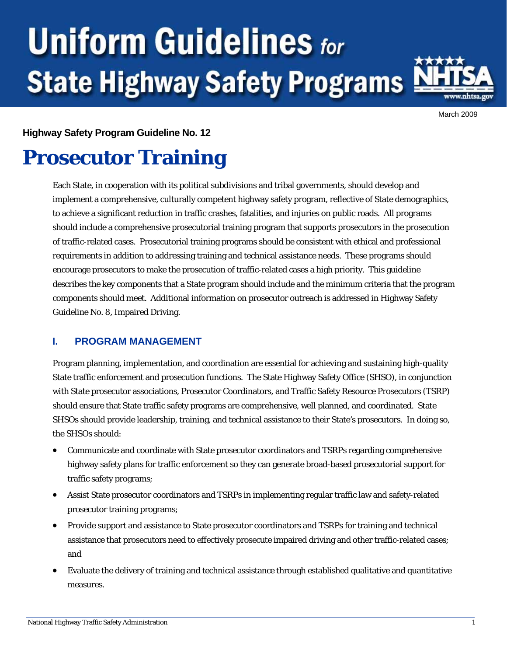# **Uniform Guidelines for State Highway Safety Programs**



March 2009

#### **Highway Safety Program Guideline No. 12**

# **Prosecutor Training**

Each State, in cooperation with its political subdivisions and tribal governments, should develop and implement a comprehensive, culturally competent highway safety program, reflective of State demographics, to achieve a significant reduction in traffic crashes, fatalities, and injuries on public roads. All programs should include a comprehensive prosecutorial training program that supports prosecutors in the prosecution of traffic-related cases. Prosecutorial training programs should be consistent with ethical and professional requirements in addition to addressing training and technical assistance needs. These programs should encourage prosecutors to make the prosecution of traffic-related cases a high priority. This guideline describes the key components that a State program should include and the minimum criteria that the program components should meet. Additional information on prosecutor outreach is addressed in Highway Safety Guideline No. 8, Impaired Driving.

### **I. PROGRAM MANAGEMENT**

Program planning, implementation, and coordination are essential for achieving and sustaining high-quality State traffic enforcement and prosecution functions. The State Highway Safety Office (SHSO), in conjunction with State prosecutor associations, Prosecutor Coordinators, and Traffic Safety Resource Prosecutors (TSRP) should ensure that State traffic safety programs are comprehensive, well planned, and coordinated. State SHSOs should provide leadership, training, and technical assistance to their State's prosecutors. In doing so, the SHSOs should:

- Communicate and coordinate with State prosecutor coordinators and TSRPs regarding comprehensive highway safety plans for traffic enforcement so they can generate broad-based prosecutorial support for traffic safety programs;
- Assist State prosecutor coordinators and TSRPs in implementing regular traffic law and safety-related prosecutor training programs;
- Provide support and assistance to State prosecutor coordinators and TSRPs for training and technical assistance that prosecutors need to effectively prosecute impaired driving and other traffic-related cases; and
- Evaluate the delivery of training and technical assistance through established qualitative and quantitative measures.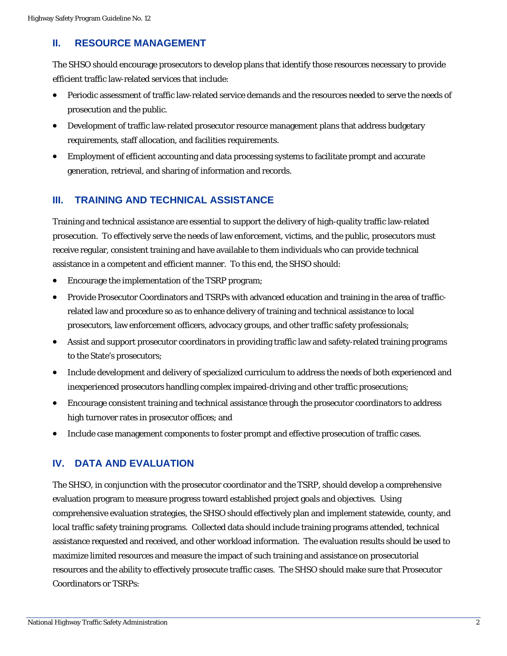#### **II. RESOURCE MANAGEMENT**

The SHSO should encourage prosecutors to develop plans that identify those resources necessary to provide efficient traffic law-related services that include:

- Periodic assessment of traffic law-related service demands and the resources needed to serve the needs of prosecution and the public.
- Development of traffic law-related prosecutor resource management plans that address budgetary requirements, staff allocation, and facilities requirements.
- Employment of efficient accounting and data processing systems to facilitate prompt and accurate generation, retrieval, and sharing of information and records.

## **III. TRAINING AND TECHNICAL ASSISTANCE**

Training and technical assistance are essential to support the delivery of high-quality traffic law-related prosecution. To effectively serve the needs of law enforcement, victims, and the public, prosecutors must receive regular, consistent training and have available to them individuals who can provide technical assistance in a competent and efficient manner. To this end, the SHSO should:

- Encourage the implementation of the TSRP program;
- Provide Prosecutor Coordinators and TSRPs with advanced education and training in the area of trafficrelated law and procedure so as to enhance delivery of training and technical assistance to local prosecutors, law enforcement officers, advocacy groups, and other traffic safety professionals;
- Assist and support prosecutor coordinators in providing traffic law and safety-related training programs to the State's prosecutors;
- Include development and delivery of specialized curriculum to address the needs of both experienced and inexperienced prosecutors handling complex impaired-driving and other traffic prosecutions;
- Encourage consistent training and technical assistance through the prosecutor coordinators to address high turnover rates in prosecutor offices; and
- Include case management components to foster prompt and effective prosecution of traffic cases.

### **IV. DATA AND EVALUATION**

The SHSO, in conjunction with the prosecutor coordinator and the TSRP, should develop a comprehensive evaluation program to measure progress toward established project goals and objectives. Using comprehensive evaluation strategies, the SHSO should effectively plan and implement statewide, county, and local traffic safety training programs. Collected data should include training programs attended, technical assistance requested and received, and other workload information. The evaluation results should be used to maximize limited resources and measure the impact of such training and assistance on prosecutorial resources and the ability to effectively prosecute traffic cases. The SHSO should make sure that Prosecutor Coordinators or TSRPs: